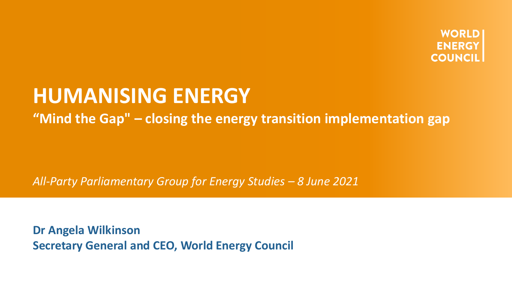

## **HUMANISING ENERGY**

**"Mind the Gap" – closing the energy transition implementation gap**

*All-Party Parliamentary Group for Energy Studies – 8 June 2021*

**Dr Angela Wilkinson Secretary General and CEO, World Energy Council**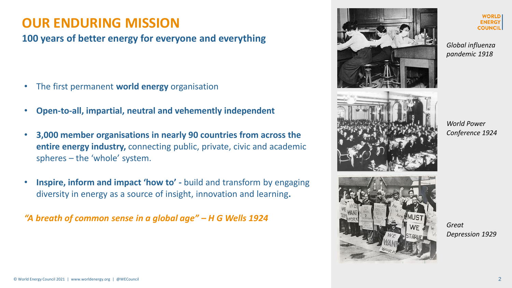#### **OUR ENDURING MISSION**

#### **100 years of better energy for everyone and everything**

- The first permanent **world energy** organisation
- **Open-to-all, impartial, neutral and vehemently independent**
- **3,000 member organisations in nearly 90 countries from across the entire energy industry,** connecting public, private, civic and academic spheres – the 'whole' system.
- **Inspire, inform and impact 'how to' -** build and transform by engaging diversity in energy as a source of insight, innovation and learning**.**

*"A breath of common sense in a global age" – H G Wells 1924*



**WORLD ENERGY COUNCIL** 

*Global influenza pandemic 1918*

*World Power Conference 1924*



*Great Depression 1929*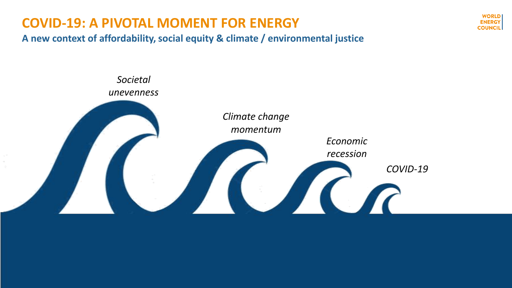### **COVID-19: A PIVOTAL MOMENT FOR ENERGY**

**A new context of affordability, social equity & climate / environmental justice** 



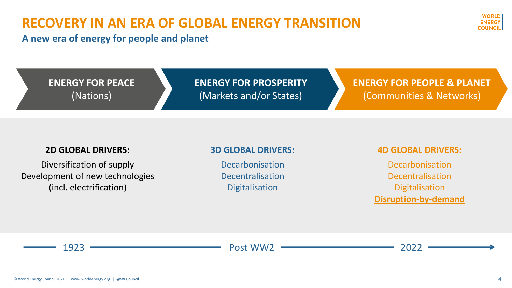### **RECOVERY IN AN ERA OF GLOBAL ENERGY TRANSITION**

**A new era of energy for people and planet**

**ENERGY FOR PROSPERITY** (Markets and/or States)

**ENERGY FOR PEOPLE & PLANET** (Communities & Networks)

#### **2D GLOBAL DRIVERS:**

**ENERGY FOR PEACE** 

(Nations)

Diversification of supply Development of new technologies (incl. electrification)

#### **3D GLOBAL DRIVERS:**

Decarbonisation Decentralisation **Digitalisation** 

#### **4D GLOBAL DRIVERS:**

Decarbonisation Decentralisation Digitalisation **Disruption-by-demand**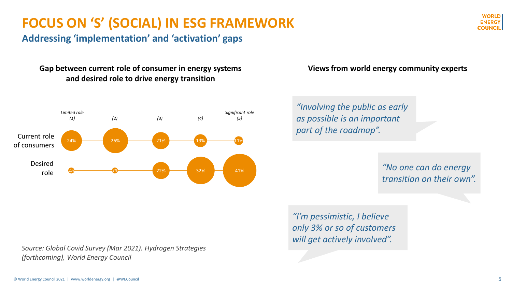### **FOCUS ON 'S' (SOCIAL) IN ESG FRAMEWORK**

**Addressing 'implementation' and 'activation' gaps**

#### **Gap between current role of consumer in energy systems and desired role to drive energy transition**



*Source: Global Covid Survey (Mar 2021). Hydrogen Strategies (forthcoming), World Energy Council*

#### **Views from world energy community experts**

*"Involving the public as early as possible is an important part of the roadmap".* 

> *"No one can do energy transition on their own".*

*"I'm pessimistic, I believe only 3% or so of customers will get actively involved".*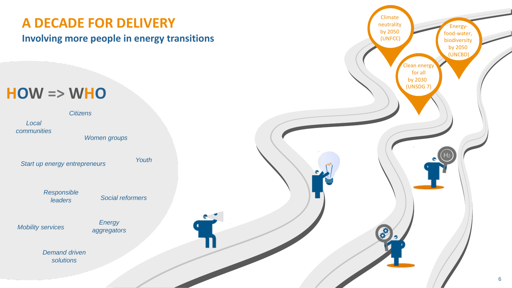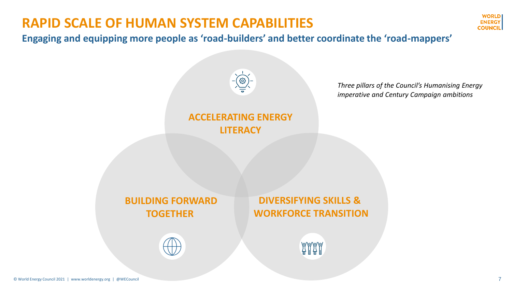### **RAPID SCALE OF HUMAN SYSTEM CAPABILITIES**



**Engaging and equipping more people as 'road-builders' and better coordinate the 'road-mappers'**

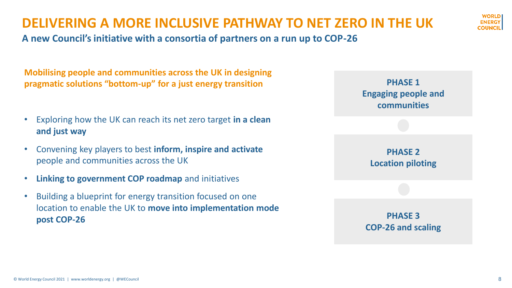### **DELIVERING A MORE INCLUSIVE PATHWAY TO NET ZERO IN THE UK**



**A new Council's initiative with a consortia of partners on a run up to COP-26**

**Mobilising people and communities across the UK in designing pragmatic solutions "bottom-up" for a just energy transition**

- Exploring how the UK can reach its net zero target **in a clean and just way**
- Convening key players to best **inform, inspire and activate**  people and communities across the UK
- **Linking to government COP roadmap** and initiatives
- Building a blueprint for energy transition focused on one location to enable the UK to **move into implementation mode post COP-26 PHASE 3**

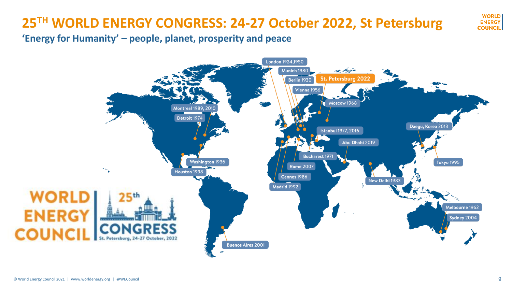## **25TH WORLD ENERGY CONGRESS: 24-27 October 2022, St Petersburg**

**'Energy for Humanity' – people, planet, prosperity and peace** 



**WORLD ENERGY COUNCIL**